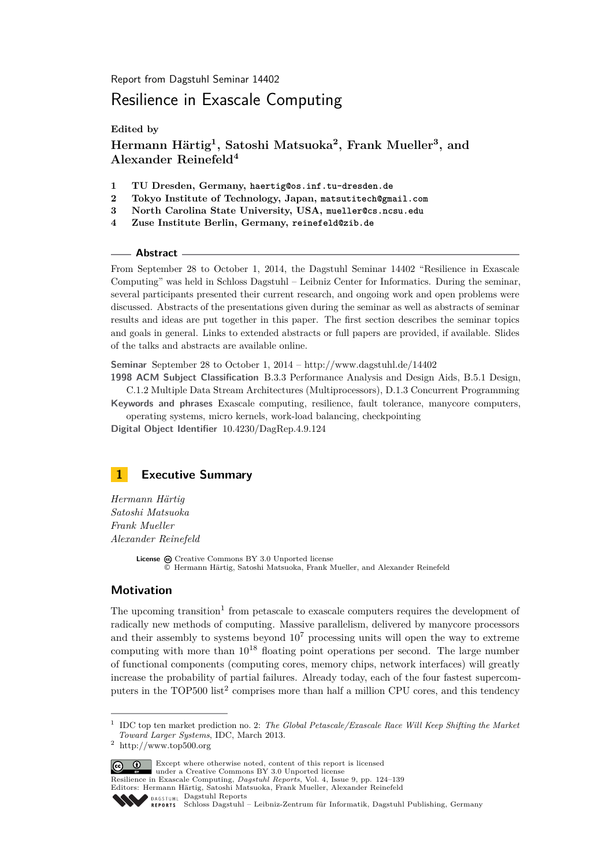Report from Dagstuhl Seminar 14402

# Resilience in Exascale Computing

**Edited by**

**Hermann Härtig<sup>1</sup> , Satoshi Matsuoka<sup>2</sup> , Frank Mueller<sup>3</sup> , and Alexander Reinefeld<sup>4</sup>**

- **1 TU Dresden, Germany, haertig@os.inf.tu-dresden.de**
- **2 Tokyo Institute of Technology, Japan, matsutitech@gmail.com**
- **3 North Carolina State University, USA, mueller@cs.ncsu.edu**
- **4 Zuse Institute Berlin, Germany, reinefeld@zib.de**

#### **Abstract**

From September 28 to October 1, 2014, the Dagstuhl Seminar 14402 "Resilience in Exascale Computing" was held in Schloss Dagstuhl – Leibniz Center for Informatics. During the seminar, several participants presented their current research, and ongoing work and open problems were discussed. Abstracts of the presentations given during the seminar as well as abstracts of seminar results and ideas are put together in this paper. The first section describes the seminar topics and goals in general. Links to extended abstracts or full papers are provided, if available. Slides of the talks and abstracts are available online.

**Seminar** September 28 to October 1, 2014 –<http://www.dagstuhl.de/14402>

**1998 ACM Subject Classification** B.3.3 Performance Analysis and Design Aids, B.5.1 Design, C.1.2 Multiple Data Stream Architectures (Multiprocessors), D.1.3 Concurrent Programming

**Keywords and phrases** Exascale computing, resilience, fault tolerance, manycore computers, operating systems, micro kernels, work-load balancing, checkpointing

**Digital Object Identifier** [10.4230/DagRep.4.9.124](http://dx.doi.org/10.4230/DagRep.4.9.124)

<span id="page-0-0"></span>

*Hermann Härtig Satoshi Matsuoka Frank Mueller Alexander Reinefeld*

> License  $\circledcirc$  [Creative Commons BY 3.0 Unported](http://creativecommons.org/licenses/by/3.0/) license © [Hermann Härtig, Satoshi Matsuoka, Frank Mueller, and Alexander Reinefeld](#page-0-0)

#### **Motivation**

The upcoming transition<sup>[1](#page-0-1)</sup> from petascale to exascale computers requires the development of radically new methods of computing. Massive parallelism, delivered by manycore processors and their assembly to systems beyond  $10<sup>7</sup>$  processing units will open the way to extreme computing with more than  $10^{18}$  floating point operations per second. The large number of functional components (computing cores, memory chips, network interfaces) will greatly increase the probability of partial failures. Already today, each of the four fastest supercom-puters in the TOP500 list<sup>[2](#page-0-2)</sup> comprises more than half a million CPU cores, and this tendency

Except where otherwise noted, content of this report is licensed under a [Creative Commons BY 3.0 Unported](http://creativecommons.org/licenses/by/3.0/) license

Resilience in Exascale Computing, *Dagstuhl Reports*, Vol. 4, Issue 9, pp. 124[–139](#page-15-0)

Editors: Hermann Härtig, Satoshi Matsuoka, Frank Mueller, Alexander Reinefeld DAGSTUHL [Dagstuhl Reports](http://www.dagstuhl.de/dagstuhl-reports/)

<span id="page-0-1"></span><sup>1</sup> IDC top ten market prediction no. 2: *The Global Petascale/Exascale Race Will Keep Shifting the Market Toward Larger Systems*, IDC, March 2013.

<span id="page-0-2"></span> $^2\,$ http://www.top500.org

REPORTS [Schloss Dagstuhl – Leibniz-Zentrum für Informatik, Dagstuhl Publishing, Germany](http://www.dagstuhl.de)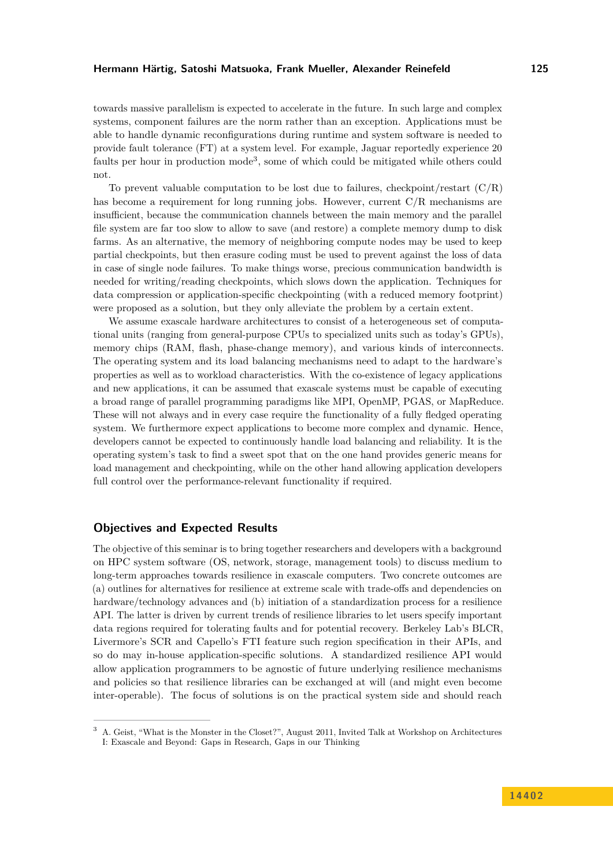towards massive parallelism is expected to accelerate in the future. In such large and complex systems, component failures are the norm rather than an exception. Applications must be able to handle dynamic reconfigurations during runtime and system software is needed to provide fault tolerance (FT) at a system level. For example, Jaguar reportedly experience 20 faults per hour in production mode<sup>[3](#page-1-0)</sup>, some of which could be mitigated while others could not.

To prevent valuable computation to be lost due to failures, checkpoint/restart  $(C/R)$ has become a requirement for long running jobs. However, current C/R mechanisms are insufficient, because the communication channels between the main memory and the parallel file system are far too slow to allow to save (and restore) a complete memory dump to disk farms. As an alternative, the memory of neighboring compute nodes may be used to keep partial checkpoints, but then erasure coding must be used to prevent against the loss of data in case of single node failures. To make things worse, precious communication bandwidth is needed for writing/reading checkpoints, which slows down the application. Techniques for data compression or application-specific checkpointing (with a reduced memory footprint) were proposed as a solution, but they only alleviate the problem by a certain extent.

We assume exascale hardware architectures to consist of a heterogeneous set of computational units (ranging from general-purpose CPUs to specialized units such as today's GPUs), memory chips (RAM, flash, phase-change memory), and various kinds of interconnects. The operating system and its load balancing mechanisms need to adapt to the hardware's properties as well as to workload characteristics. With the co-existence of legacy applications and new applications, it can be assumed that exascale systems must be capable of executing a broad range of parallel programming paradigms like MPI, OpenMP, PGAS, or MapReduce. These will not always and in every case require the functionality of a fully fledged operating system. We furthermore expect applications to become more complex and dynamic. Hence, developers cannot be expected to continuously handle load balancing and reliability. It is the operating system's task to find a sweet spot that on the one hand provides generic means for load management and checkpointing, while on the other hand allowing application developers full control over the performance-relevant functionality if required.

### **Objectives and Expected Results**

The objective of this seminar is to bring together researchers and developers with a background on HPC system software (OS, network, storage, management tools) to discuss medium to long-term approaches towards resilience in exascale computers. Two concrete outcomes are (a) outlines for alternatives for resilience at extreme scale with trade-offs and dependencies on hardware/technology advances and (b) initiation of a standardization process for a resilience API. The latter is driven by current trends of resilience libraries to let users specify important data regions required for tolerating faults and for potential recovery. Berkeley Lab's BLCR, Livermore's SCR and Capello's FTI feature such region specification in their APIs, and so do may in-house application-specific solutions. A standardized resilience API would allow application programmers to be agnostic of future underlying resilience mechanisms and policies so that resilience libraries can be exchanged at will (and might even become inter-operable). The focus of solutions is on the practical system side and should reach

<span id="page-1-0"></span><sup>3</sup> A. Geist, "What is the Monster in the Closet?", August 2011, Invited Talk at Workshop on Architectures I: Exascale and Beyond: Gaps in Research, Gaps in our Thinking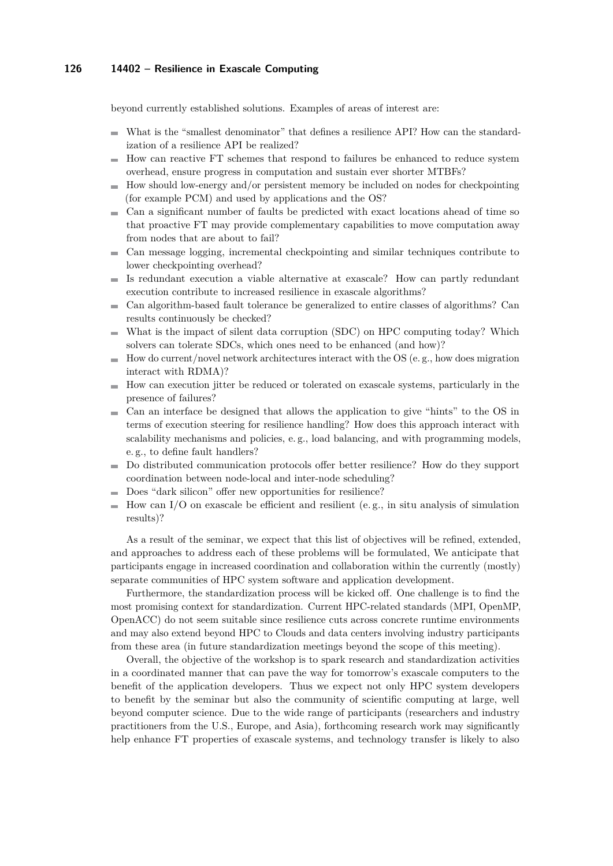#### **126 14402 – Resilience in Exascale Computing**

beyond currently established solutions. Examples of areas of interest are:

- What is the "smallest denominator" that defines a resilience API? How can the standardization of a resilience API be realized?
- How can reactive FT schemes that respond to failures be enhanced to reduce system m. overhead, ensure progress in computation and sustain ever shorter MTBFs?
- How should low-energy and/or persistent memory be included on nodes for checkpointing  $\equiv$ (for example PCM) and used by applications and the OS?
- Can a significant number of faults be predicted with exact locations ahead of time so m. that proactive FT may provide complementary capabilities to move computation away from nodes that are about to fail?
- Can message logging, incremental checkpointing and similar techniques contribute to lower checkpointing overhead?
- Is redundant execution a viable alternative at exascale? How can partly redundant execution contribute to increased resilience in exascale algorithms?
- Can algorithm-based fault tolerance be generalized to entire classes of algorithms? Can  $\sim$ results continuously be checked?
- What is the impact of silent data corruption (SDC) on HPC computing today? Which solvers can tolerate SDCs, which ones need to be enhanced (and how)?
- How do current/novel network architectures interact with the OS (e. g., how does migration  $\sim$ interact with RDMA)?
- How can execution jitter be reduced or tolerated on exascale systems, particularly in the presence of failures?
- $\blacksquare$  Can an interface be designed that allows the application to give "hints" to the OS in terms of execution steering for resilience handling? How does this approach interact with scalability mechanisms and policies, e.g., load balancing, and with programming models, e. g., to define fault handlers?
- Do distributed communication protocols offer better resilience? How do they support coordination between node-local and inter-node scheduling?
- Does "dark silicon" offer new opportunities for resilience?
- How can I/O on exascale be efficient and resilient (e. g., in situ analysis of simulation  $\rightarrow$ results)?

As a result of the seminar, we expect that this list of objectives will be refined, extended, and approaches to address each of these problems will be formulated, We anticipate that participants engage in increased coordination and collaboration within the currently (mostly) separate communities of HPC system software and application development.

Furthermore, the standardization process will be kicked off. One challenge is to find the most promising context for standardization. Current HPC-related standards (MPI, OpenMP, OpenACC) do not seem suitable since resilience cuts across concrete runtime environments and may also extend beyond HPC to Clouds and data centers involving industry participants from these area (in future standardization meetings beyond the scope of this meeting).

Overall, the objective of the workshop is to spark research and standardization activities in a coordinated manner that can pave the way for tomorrow's exascale computers to the benefit of the application developers. Thus we expect not only HPC system developers to benefit by the seminar but also the community of scientific computing at large, well beyond computer science. Due to the wide range of participants (researchers and industry practitioners from the U.S., Europe, and Asia), forthcoming research work may significantly help enhance FT properties of exascale systems, and technology transfer is likely to also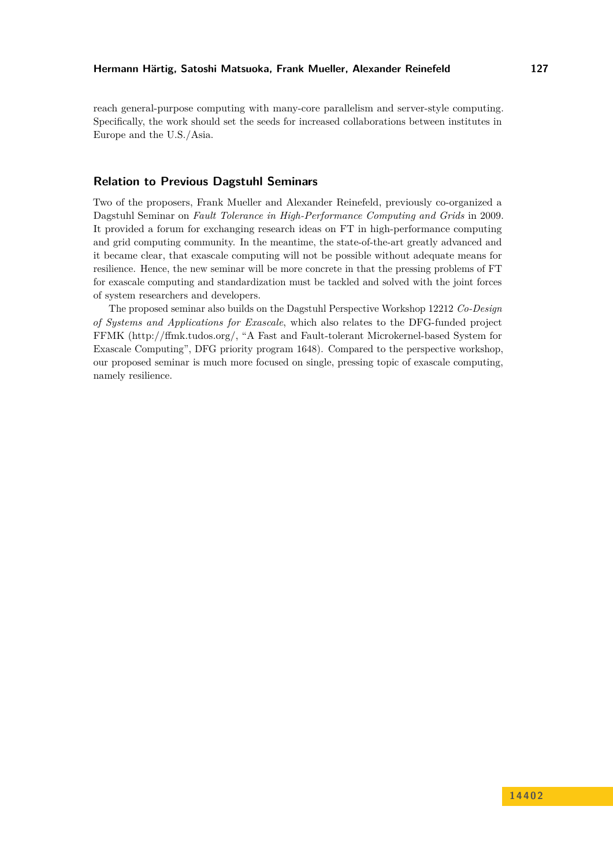reach general-purpose computing with many-core parallelism and server-style computing. Specifically, the work should set the seeds for increased collaborations between institutes in Europe and the U.S./Asia.

### **Relation to Previous Dagstuhl Seminars**

Two of the proposers, Frank Mueller and Alexander Reinefeld, previously co-organized a Dagstuhl Seminar on *Fault Tolerance in High-Performance Computing and Grids* in 2009. It provided a forum for exchanging research ideas on FT in high-performance computing and grid computing community. In the meantime, the state-of-the-art greatly advanced and it became clear, that exascale computing will not be possible without adequate means for resilience. Hence, the new seminar will be more concrete in that the pressing problems of FT for exascale computing and standardization must be tackled and solved with the joint forces of system researchers and developers.

The proposed seminar also builds on the Dagstuhl Perspective Workshop 12212 *Co-Design of Systems and Applications for Exascale*, which also relates to the DFG-funded project FFMK [\(http://ffmk.tudos.org/,](http://ffmk.tudos.org/) "A Fast and Fault-tolerant Microkernel-based System for Exascale Computing", DFG priority program 1648). Compared to the perspective workshop, our proposed seminar is much more focused on single, pressing topic of exascale computing, namely resilience.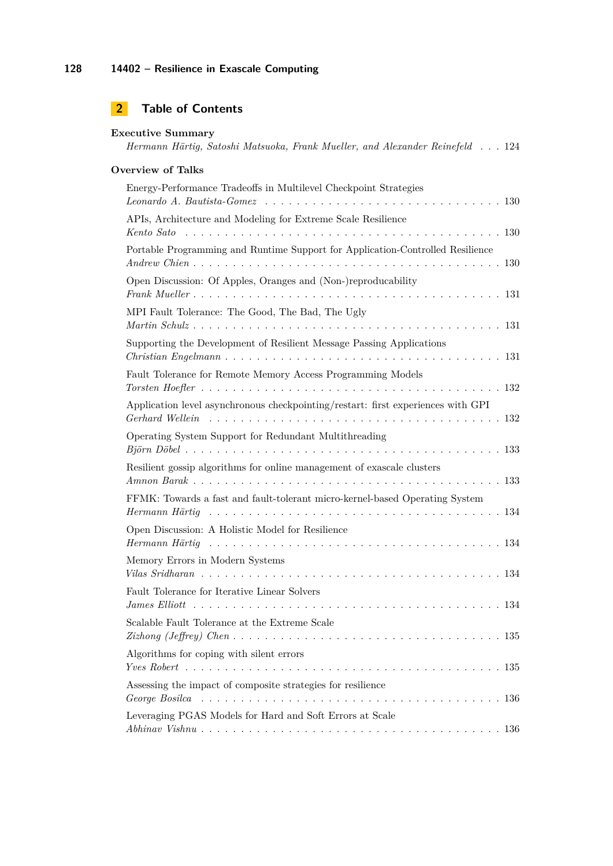# **2 Table of Contents**

| <b>Executive Summary</b><br>Hermann Härtig, Satoshi Matsuoka, Frank Mueller, and Alexander Reinefeld 124 |
|----------------------------------------------------------------------------------------------------------|
| <b>Overview of Talks</b>                                                                                 |
| Energy-Performance Tradeoffs in Multilevel Checkpoint Strategies                                         |
| APIs, Architecture and Modeling for Extreme Scale Resilience                                             |
| Portable Programming and Runtime Support for Application-Controlled Resilience                           |
| Open Discussion: Of Apples, Oranges and (Non-)reproducability                                            |
| MPI Fault Tolerance: The Good, The Bad, The Ugly                                                         |
| Supporting the Development of Resilient Message Passing Applications                                     |
| Fault Tolerance for Remote Memory Access Programming Models                                              |
| Application level asynchronous checkpointing/restart: first experiences with GPI                         |
| Operating System Support for Redundant Multithreading                                                    |
| Resilient gossip algorithms for online management of exascale clusters                                   |
| FFMK: Towards a fast and fault-tolerant micro-kernel-based Operating System                              |
| Open Discussion: A Holistic Model for Resilience                                                         |
| Memory Errors in Modern Systems                                                                          |
| Fault Tolerance for Iterative Linear Solvers                                                             |
| Scalable Fault Tolerance at the Extreme Scale                                                            |
| Algorithms for coping with silent errors                                                                 |
|                                                                                                          |
| Assessing the impact of composite strategies for resilience                                              |
| Leveraging PGAS Models for Hard and Soft Errors at Scale                                                 |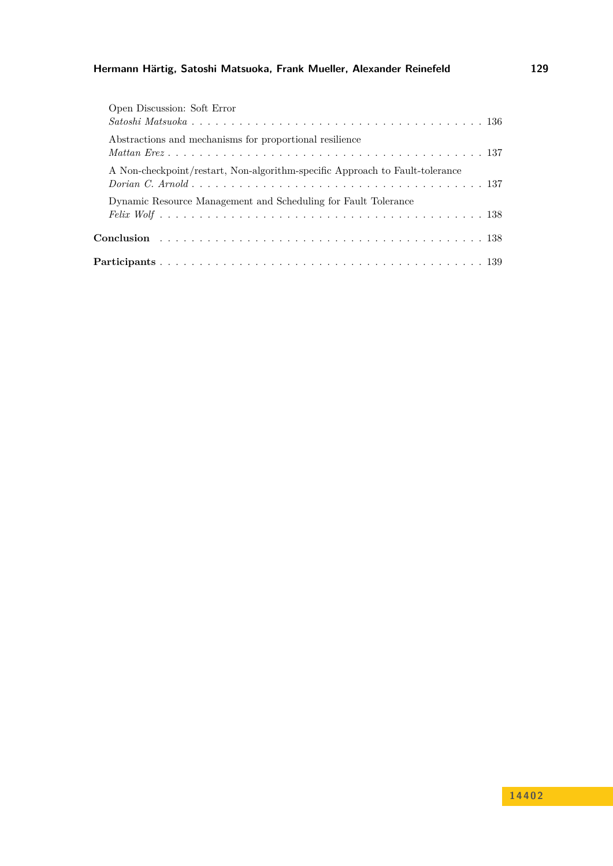| Open Discussion: Soft Error                                                  |
|------------------------------------------------------------------------------|
|                                                                              |
| Abstractions and mechanisms for proportional resilience                      |
| A Non-checkpoint/restart, Non-algorithm-specific Approach to Fault-tolerance |
| Dynamic Resource Management and Scheduling for Fault Tolerance               |
|                                                                              |
|                                                                              |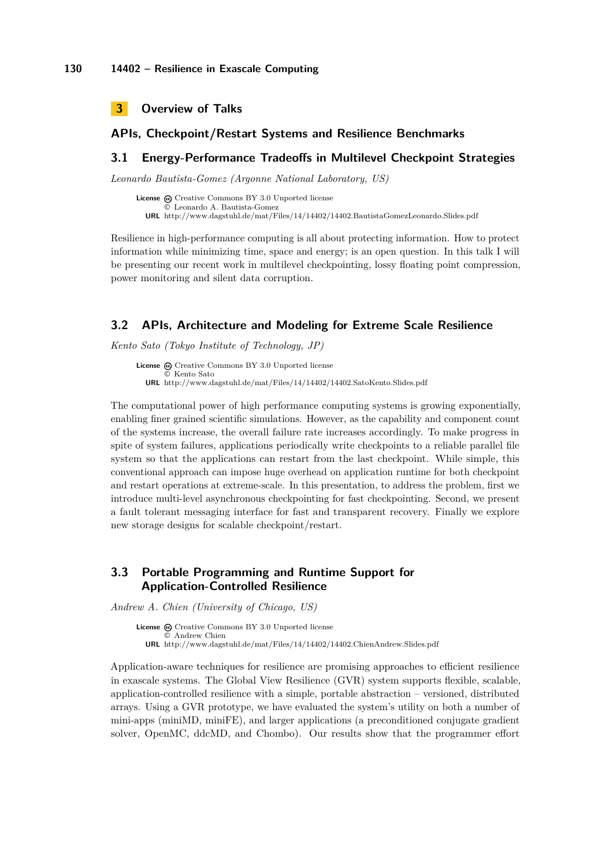<span id="page-6-0"></span>

### **APIs, Checkpoint/Restart Systems and Resilience Benchmarks**

### <span id="page-6-1"></span>**3.1 Energy-Performance Tradeoffs in Multilevel Checkpoint Strategies**

*Leonardo Bautista-Gomez (Argonne National Laboratory, US)*

License  $\bigcirc$  [Creative Commons BY 3.0 Unported](http://creativecommons.org/licenses/by/3.0/) license © [Leonardo A. Bautista-Gomez](#page-6-1) **URL** <http://www.dagstuhl.de/mat/Files/14/14402/14402.BautistaGomezLeonardo.Slides.pdf>

Resilience in high-performance computing is all about protecting information. How to protect information while minimizing time, space and energy; is an open question. In this talk I will be presenting our recent work in multilevel checkpointing, lossy floating point compression, power monitoring and silent data corruption.

#### <span id="page-6-2"></span>**3.2 APIs, Architecture and Modeling for Extreme Scale Resilience**

*Kento Sato (Tokyo Institute of Technology, JP)*

**License**  $\textcircled{c}$  [Creative Commons BY 3.0 Unported](http://creativecommons.org/licenses/by/3.0/) license © [Kento Sato](#page-6-2) **URL** <http://www.dagstuhl.de/mat/Files/14/14402/14402.SatoKento.Slides.pdf>

The computational power of high performance computing systems is growing exponentially, enabling finer grained scientific simulations. However, as the capability and component count of the systems increase, the overall failure rate increases accordingly. To make progress in spite of system failures, applications periodically write checkpoints to a reliable parallel file system so that the applications can restart from the last checkpoint. While simple, this conventional approach can impose huge overhead on application runtime for both checkpoint and restart operations at extreme-scale. In this presentation, to address the problem, first we introduce multi-level asynchronous checkpointing for fast checkpointing. Second, we present a fault tolerant messaging interface for fast and transparent recovery. Finally we explore new storage designs for scalable checkpoint/restart.

## <span id="page-6-3"></span>**3.3 Portable Programming and Runtime Support for Application-Controlled Resilience**

*Andrew A. Chien (University of Chicago, US)*

**License** @ [Creative Commons BY 3.0 Unported](http://creativecommons.org/licenses/by/3.0/) license © [Andrew Chien](#page-6-3) **URL** <http://www.dagstuhl.de/mat/Files/14/14402/14402.ChienAndrew.Slides.pdf>

Application-aware techniques for resilience are promising approaches to efficient resilience in exascale systems. The Global View Resilience (GVR) system supports flexible, scalable, application-controlled resilience with a simple, portable abstraction – versioned, distributed arrays. Using a GVR prototype, we have evaluated the system's utility on both a number of mini-apps (miniMD, miniFE), and larger applications (a preconditioned conjugate gradient solver, OpenMC, ddcMD, and Chombo). Our results show that the programmer effort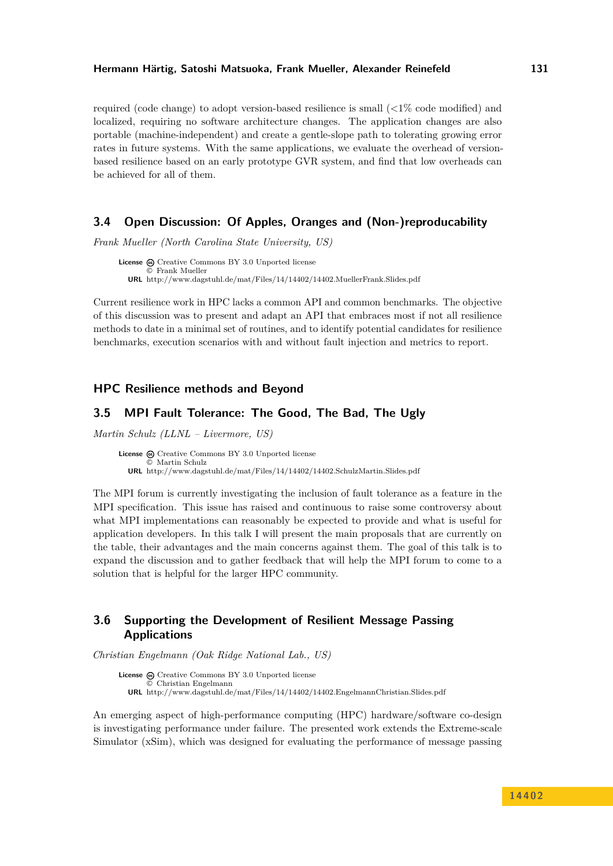required (code change) to adopt version-based resilience is small (<1% code modified) and localized, requiring no software architecture changes. The application changes are also portable (machine-independent) and create a gentle-slope path to tolerating growing error rates in future systems. With the same applications, we evaluate the overhead of versionbased resilience based on an early prototype GVR system, and find that low overheads can be achieved for all of them.

### <span id="page-7-0"></span>**3.4 Open Discussion: Of Apples, Oranges and (Non-)reproducability**

*Frank Mueller (North Carolina State University, US)*

License  $\bigcirc$  [Creative Commons BY 3.0 Unported](http://creativecommons.org/licenses/by/3.0/) license © [Frank Mueller](#page-7-0) **URL** <http://www.dagstuhl.de/mat/Files/14/14402/14402.MuellerFrank.Slides.pdf>

Current resilience work in HPC lacks a common API and common benchmarks. The objective of this discussion was to present and adapt an API that embraces most if not all resilience methods to date in a minimal set of routines, and to identify potential candidates for resilience benchmarks, execution scenarios with and without fault injection and metrics to report.

### **HPC Resilience methods and Beyond**

## <span id="page-7-1"></span>**3.5 MPI Fault Tolerance: The Good, The Bad, The Ugly**

*Martin Schulz (LLNL – Livermore, US)*

License  $\textcircled{a}$  [Creative Commons BY 3.0 Unported](http://creativecommons.org/licenses/by/3.0/) license © [Martin Schulz](#page-7-1) **URL** <http://www.dagstuhl.de/mat/Files/14/14402/14402.SchulzMartin.Slides.pdf>

The MPI forum is currently investigating the inclusion of fault tolerance as a feature in the MPI specification. This issue has raised and continuous to raise some controversy about what MPI implementations can reasonably be expected to provide and what is useful for application developers. In this talk I will present the main proposals that are currently on the table, their advantages and the main concerns against them. The goal of this talk is to expand the discussion and to gather feedback that will help the MPI forum to come to a solution that is helpful for the larger HPC community.

## <span id="page-7-2"></span>**3.6 Supporting the Development of Resilient Message Passing Applications**

*Christian Engelmann (Oak Ridge National Lab., US)*

License  $\textcircled{c}$  [Creative Commons BY 3.0 Unported](http://creativecommons.org/licenses/by/3.0/) license © [Christian Engelmann](#page-7-2) **URL** <http://www.dagstuhl.de/mat/Files/14/14402/14402.EngelmannChristian.Slides.pdf>

An emerging aspect of high-performance computing (HPC) hardware/software co-design is investigating performance under failure. The presented work extends the Extreme-scale Simulator (xSim), which was designed for evaluating the performance of message passing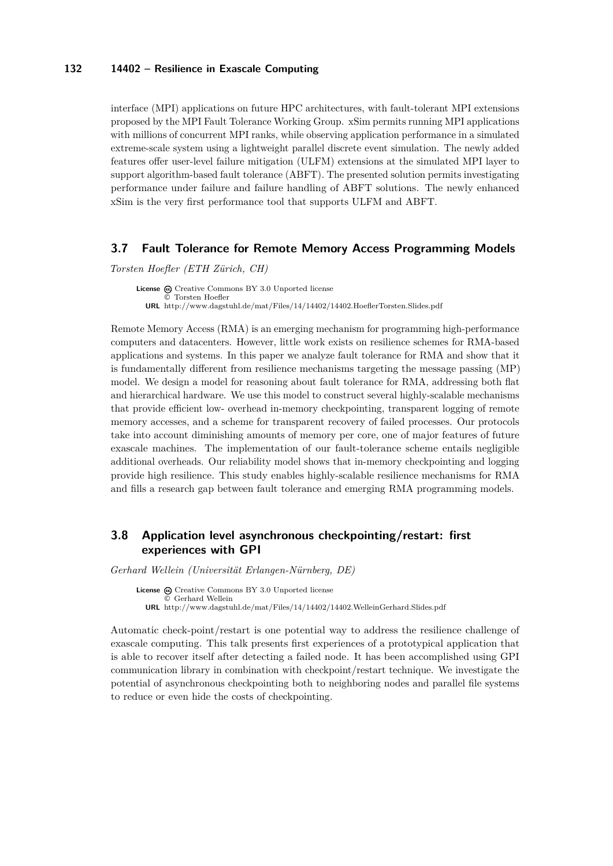#### **132 14402 – Resilience in Exascale Computing**

interface (MPI) applications on future HPC architectures, with fault-tolerant MPI extensions proposed by the MPI Fault Tolerance Working Group. xSim permits running MPI applications with millions of concurrent MPI ranks, while observing application performance in a simulated extreme-scale system using a lightweight parallel discrete event simulation. The newly added features offer user-level failure mitigation (ULFM) extensions at the simulated MPI layer to support algorithm-based fault tolerance (ABFT). The presented solution permits investigating performance under failure and failure handling of ABFT solutions. The newly enhanced xSim is the very first performance tool that supports ULFM and ABFT.

### <span id="page-8-0"></span>**3.7 Fault Tolerance for Remote Memory Access Programming Models**

*Torsten Hoefler (ETH Zürich, CH)*

License  $\textcircled{a}$  [Creative Commons BY 3.0 Unported](http://creativecommons.org/licenses/by/3.0/) license © [Torsten Hoefler](#page-8-0) **URL** <http://www.dagstuhl.de/mat/Files/14/14402/14402.HoeflerTorsten.Slides.pdf>

Remote Memory Access (RMA) is an emerging mechanism for programming high-performance computers and datacenters. However, little work exists on resilience schemes for RMA-based applications and systems. In this paper we analyze fault tolerance for RMA and show that it is fundamentally different from resilience mechanisms targeting the message passing (MP) model. We design a model for reasoning about fault tolerance for RMA, addressing both flat and hierarchical hardware. We use this model to construct several highly-scalable mechanisms that provide efficient low- overhead in-memory checkpointing, transparent logging of remote memory accesses, and a scheme for transparent recovery of failed processes. Our protocols take into account diminishing amounts of memory per core, one of major features of future exascale machines. The implementation of our fault-tolerance scheme entails negligible additional overheads. Our reliability model shows that in-memory checkpointing and logging provide high resilience. This study enables highly-scalable resilience mechanisms for RMA and fills a research gap between fault tolerance and emerging RMA programming models.

## <span id="page-8-1"></span>**3.8 Application level asynchronous checkpointing/restart: first experiences with GPI**

*Gerhard Wellein (Universität Erlangen-Nürnberg, DE)*

**License**  $\textcircled{e}$  [Creative Commons BY 3.0 Unported](http://creativecommons.org/licenses/by/3.0/) license © [Gerhard Wellein](#page-8-1) **URL** <http://www.dagstuhl.de/mat/Files/14/14402/14402.WelleinGerhard.Slides.pdf>

Automatic check-point/restart is one potential way to address the resilience challenge of exascale computing. This talk presents first experiences of a prototypical application that is able to recover itself after detecting a failed node. It has been accomplished using GPI communication library in combination with checkpoint/restart technique. We investigate the potential of asynchronous checkpointing both to neighboring nodes and parallel file systems to reduce or even hide the costs of checkpointing.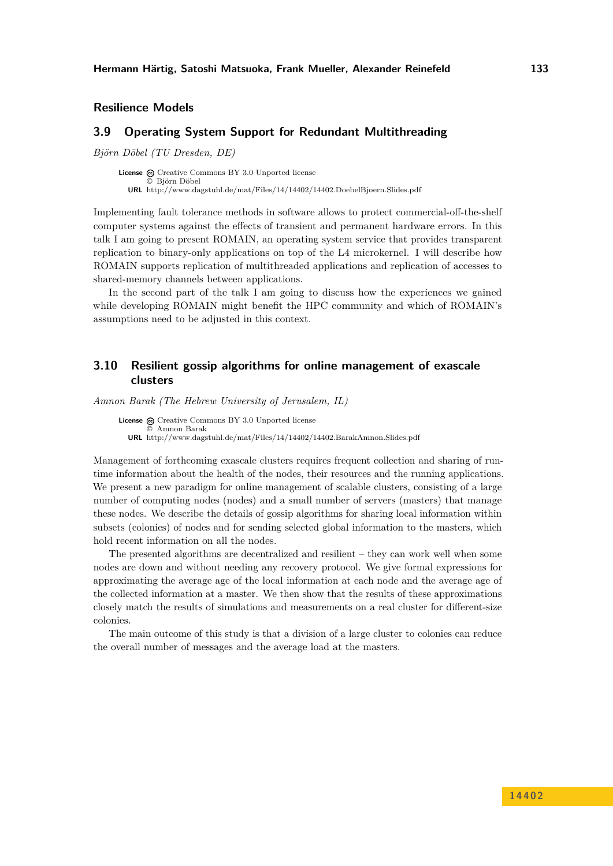**Resilience Models**

### <span id="page-9-0"></span>**3.9 Operating System Support for Redundant Multithreading**

*Björn Döbel (TU Dresden, DE)*

License  $\odot$  [Creative Commons BY 3.0 Unported](http://creativecommons.org/licenses/by/3.0/) license © [Björn Döbel](#page-9-0) **URL** <http://www.dagstuhl.de/mat/Files/14/14402/14402.DoebelBjoern.Slides.pdf>

Implementing fault tolerance methods in software allows to protect commercial-off-the-shelf computer systems against the effects of transient and permanent hardware errors. In this talk I am going to present ROMAIN, an operating system service that provides transparent replication to binary-only applications on top of the L4 microkernel. I will describe how ROMAIN supports replication of multithreaded applications and replication of accesses to shared-memory channels between applications.

In the second part of the talk I am going to discuss how the experiences we gained while developing ROMAIN might benefit the HPC community and which of ROMAIN's assumptions need to be adjusted in this context.

## <span id="page-9-1"></span>**3.10 Resilient gossip algorithms for online management of exascale clusters**

*Amnon Barak (The Hebrew University of Jerusalem, IL)*

License  $\textcircled{a}$  [Creative Commons BY 3.0 Unported](http://creativecommons.org/licenses/by/3.0/) license © [Amnon Barak](#page-9-1) **URL** <http://www.dagstuhl.de/mat/Files/14/14402/14402.BarakAmnon.Slides.pdf>

Management of forthcoming exascale clusters requires frequent collection and sharing of runtime information about the health of the nodes, their resources and the running applications. We present a new paradigm for online management of scalable clusters, consisting of a large number of computing nodes (nodes) and a small number of servers (masters) that manage these nodes. We describe the details of gossip algorithms for sharing local information within subsets (colonies) of nodes and for sending selected global information to the masters, which hold recent information on all the nodes.

The presented algorithms are decentralized and resilient – they can work well when some nodes are down and without needing any recovery protocol. We give formal expressions for approximating the average age of the local information at each node and the average age of the collected information at a master. We then show that the results of these approximations closely match the results of simulations and measurements on a real cluster for different-size colonies.

The main outcome of this study is that a division of a large cluster to colonies can reduce the overall number of messages and the average load at the masters.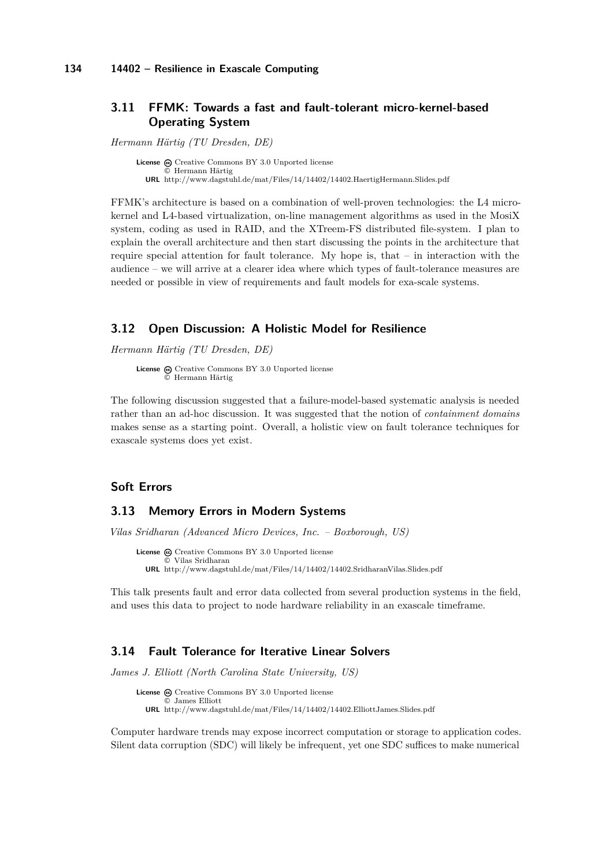## <span id="page-10-0"></span>**3.11 FFMK: Towards a fast and fault-tolerant micro-kernel-based Operating System**

*Hermann Härtig (TU Dresden, DE)*

License  $\textcircled{c}$  [Creative Commons BY 3.0 Unported](http://creativecommons.org/licenses/by/3.0/) license © [Hermann Härtig](#page-10-0) **URL** <http://www.dagstuhl.de/mat/Files/14/14402/14402.HaertigHermann.Slides.pdf>

FFMK's architecture is based on a combination of well-proven technologies: the L4 microkernel and L4-based virtualization, on-line management algorithms as used in the MosiX system, coding as used in RAID, and the XTreem-FS distributed file-system. I plan to explain the overall architecture and then start discussing the points in the architecture that require special attention for fault tolerance. My hope is, that  $-$  in interaction with the audience – we will arrive at a clearer idea where which types of fault-tolerance measures are needed or possible in view of requirements and fault models for exa-scale systems.

#### <span id="page-10-1"></span>**3.12 Open Discussion: A Holistic Model for Resilience**

*Hermann Härtig (TU Dresden, DE)*

License  $\textcircled{c}$  [Creative Commons BY 3.0 Unported](http://creativecommons.org/licenses/by/3.0/) license © [Hermann Härtig](#page-10-1)

The following discussion suggested that a failure-model-based systematic analysis is needed rather than an ad-hoc discussion. It was suggested that the notion of *containment domains* makes sense as a starting point. Overall, a holistic view on fault tolerance techniques for exascale systems does yet exist.

### **Soft Errors**

### <span id="page-10-2"></span>**3.13 Memory Errors in Modern Systems**

*Vilas Sridharan (Advanced Micro Devices, Inc. – Boxborough, US)*

License  $\odot$  [Creative Commons BY 3.0 Unported](http://creativecommons.org/licenses/by/3.0/) license © [Vilas Sridharan](#page-10-2) **URL** <http://www.dagstuhl.de/mat/Files/14/14402/14402.SridharanVilas.Slides.pdf>

This talk presents fault and error data collected from several production systems in the field, and uses this data to project to node hardware reliability in an exascale timeframe.

## <span id="page-10-3"></span>**3.14 Fault Tolerance for Iterative Linear Solvers**

*James J. Elliott (North Carolina State University, US)*

License  $\textcircled{c}$  [Creative Commons BY 3.0 Unported](http://creativecommons.org/licenses/by/3.0/) license © [James Elliott](#page-10-3) **URL** <http://www.dagstuhl.de/mat/Files/14/14402/14402.ElliottJames.Slides.pdf>

Computer hardware trends may expose incorrect computation or storage to application codes. Silent data corruption (SDC) will likely be infrequent, yet one SDC suffices to make numerical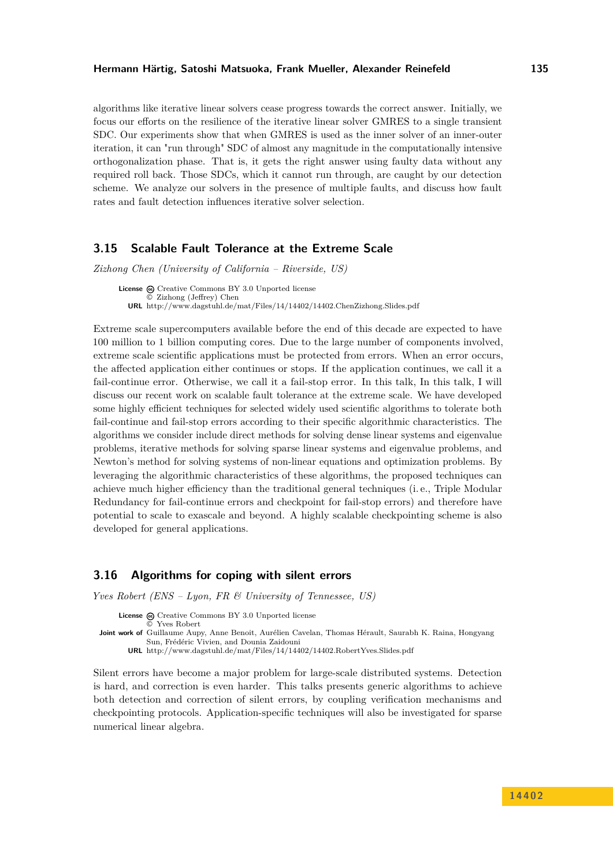algorithms like iterative linear solvers cease progress towards the correct answer. Initially, we focus our efforts on the resilience of the iterative linear solver GMRES to a single transient SDC. Our experiments show that when GMRES is used as the inner solver of an inner-outer iteration, it can "run through" SDC of almost any magnitude in the computationally intensive orthogonalization phase. That is, it gets the right answer using faulty data without any required roll back. Those SDCs, which it cannot run through, are caught by our detection scheme. We analyze our solvers in the presence of multiple faults, and discuss how fault rates and fault detection influences iterative solver selection.

### <span id="page-11-0"></span>**3.15 Scalable Fault Tolerance at the Extreme Scale**

*Zizhong Chen (University of California – Riverside, US)*

License  $\textcircled{a}$  [Creative Commons BY 3.0 Unported](http://creativecommons.org/licenses/by/3.0/) license © [Zizhong \(Jeffrey\) Chen](#page-11-0) **URL** <http://www.dagstuhl.de/mat/Files/14/14402/14402.ChenZizhong.Slides.pdf>

Extreme scale supercomputers available before the end of this decade are expected to have 100 million to 1 billion computing cores. Due to the large number of components involved, extreme scale scientific applications must be protected from errors. When an error occurs, the affected application either continues or stops. If the application continues, we call it a fail-continue error. Otherwise, we call it a fail-stop error. In this talk, In this talk, I will discuss our recent work on scalable fault tolerance at the extreme scale. We have developed some highly efficient techniques for selected widely used scientific algorithms to tolerate both fail-continue and fail-stop errors according to their specific algorithmic characteristics. The algorithms we consider include direct methods for solving dense linear systems and eigenvalue problems, iterative methods for solving sparse linear systems and eigenvalue problems, and Newton's method for solving systems of non-linear equations and optimization problems. By leveraging the algorithmic characteristics of these algorithms, the proposed techniques can achieve much higher efficiency than the traditional general techniques (i. e., Triple Modular Redundancy for fail-continue errors and checkpoint for fail-stop errors) and therefore have potential to scale to exascale and beyond. A highly scalable checkpointing scheme is also developed for general applications.

### <span id="page-11-1"></span>**3.16 Algorithms for coping with silent errors**

*Yves Robert (ENS – Lyon, FR & University of Tennessee, US)*

License  $\textcircled{a}$  [Creative Commons BY 3.0 Unported](http://creativecommons.org/licenses/by/3.0/) license [Yves Robert](#page-11-1)

**Joint work of** Guillaume Aupy, Anne Benoit, Aurélien Cavelan, Thomas Hérault, Saurabh K. Raina, Hongyang Sun, Frédéric Vivien, and Dounia Zaidouni **URL** <http://www.dagstuhl.de/mat/Files/14/14402/14402.RobertYves.Slides.pdf>

Silent errors have become a major problem for large-scale distributed systems. Detection is hard, and correction is even harder. This talks presents generic algorithms to achieve both detection and correction of silent errors, by coupling verification mechanisms and checkpointing protocols. Application-specific techniques will also be investigated for sparse numerical linear algebra.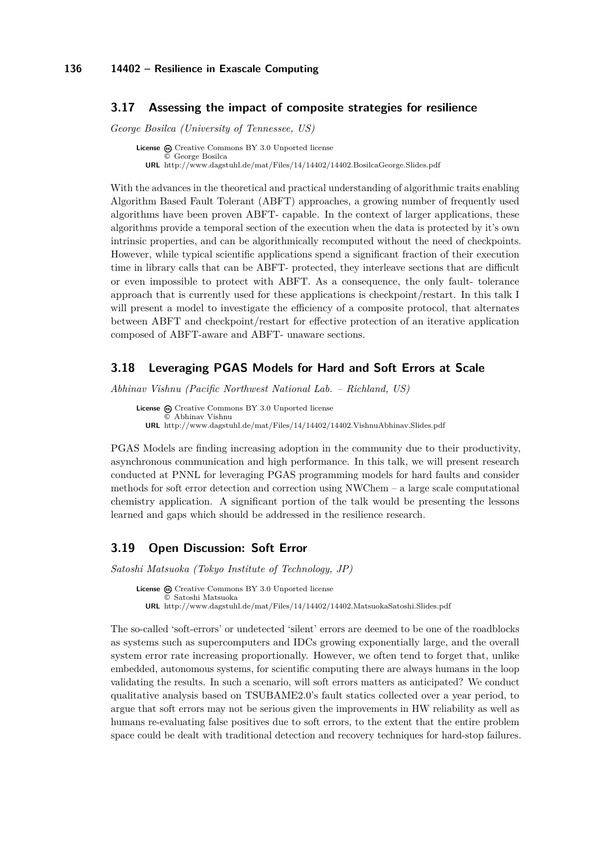### <span id="page-12-0"></span>**3.17 Assessing the impact of composite strategies for resilience**

*George Bosilca (University of Tennessee, US)*

**License**  $\odot$  [Creative Commons BY 3.0 Unported](http://creativecommons.org/licenses/by/3.0/) license © [George Bosilca](#page-12-0) **URL** <http://www.dagstuhl.de/mat/Files/14/14402/14402.BosilcaGeorge.Slides.pdf>

With the advances in the theoretical and practical understanding of algorithmic traits enabling Algorithm Based Fault Tolerant (ABFT) approaches, a growing number of frequently used algorithms have been proven ABFT- capable. In the context of larger applications, these algorithms provide a temporal section of the execution when the data is protected by it's own intrinsic properties, and can be algorithmically recomputed without the need of checkpoints. However, while typical scientific applications spend a significant fraction of their execution time in library calls that can be ABFT- protected, they interleave sections that are difficult or even impossible to protect with ABFT. As a consequence, the only fault- tolerance approach that is currently used for these applications is checkpoint/restart. In this talk I will present a model to investigate the efficiency of a composite protocol, that alternates between ABFT and checkpoint/restart for effective protection of an iterative application composed of ABFT-aware and ABFT- unaware sections.

## <span id="page-12-1"></span>**3.18 Leveraging PGAS Models for Hard and Soft Errors at Scale**

*Abhinav Vishnu (Pacific Northwest National Lab. – Richland, US)*

License  $\bigcirc$  [Creative Commons BY 3.0 Unported](http://creativecommons.org/licenses/by/3.0/) license © [Abhinav Vishnu](#page-12-1) **URL** <http://www.dagstuhl.de/mat/Files/14/14402/14402.VishnuAbhinav.Slides.pdf>

PGAS Models are finding increasing adoption in the community due to their productivity, asynchronous communication and high performance. In this talk, we will present research conducted at PNNL for leveraging PGAS programming models for hard faults and consider methods for soft error detection and correction using NWChem – a large scale computational chemistry application. A significant portion of the talk would be presenting the lessons learned and gaps which should be addressed in the resilience research.

### <span id="page-12-2"></span>**3.19 Open Discussion: Soft Error**

*Satoshi Matsuoka (Tokyo Institute of Technology, JP)*

License  $\textcircled{c}$  [Creative Commons BY 3.0 Unported](http://creativecommons.org/licenses/by/3.0/) license © [Satoshi Matsuoka](#page-12-2) **URL** <http://www.dagstuhl.de/mat/Files/14/14402/14402.MatsuokaSatoshi.Slides.pdf>

The so-called 'soft-errors' or undetected 'silent' errors are deemed to be one of the roadblocks as systems such as supercomputers and IDCs growing exponentially large, and the overall system error rate increasing proportionally. However, we often tend to forget that, unlike embedded, autonomous systems, for scientific computing there are always humans in the loop validating the results. In such a scenario, will soft errors matters as anticipated? We conduct qualitative analysis based on TSUBAME2.0's fault statics collected over a year period, to argue that soft errors may not be serious given the improvements in HW reliability as well as humans re-evaluating false positives due to soft errors, to the extent that the entire problem space could be dealt with traditional detection and recovery techniques for hard-stop failures.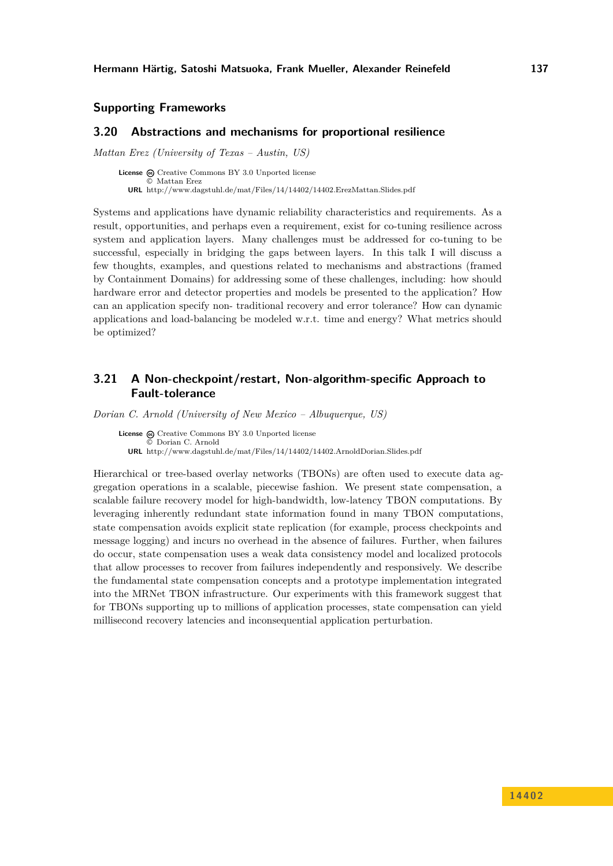### **Supporting Frameworks**

#### <span id="page-13-0"></span>**3.20 Abstractions and mechanisms for proportional resilience**

*Mattan Erez (University of Texas – Austin, US)*

License  $\odot$  [Creative Commons BY 3.0 Unported](http://creativecommons.org/licenses/by/3.0/) license © [Mattan Erez](#page-13-0) **URL** <http://www.dagstuhl.de/mat/Files/14/14402/14402.ErezMattan.Slides.pdf>

Systems and applications have dynamic reliability characteristics and requirements. As a result, opportunities, and perhaps even a requirement, exist for co-tuning resilience across system and application layers. Many challenges must be addressed for co-tuning to be successful, especially in bridging the gaps between layers. In this talk I will discuss a few thoughts, examples, and questions related to mechanisms and abstractions (framed by Containment Domains) for addressing some of these challenges, including: how should hardware error and detector properties and models be presented to the application? How can an application specify non- traditional recovery and error tolerance? How can dynamic applications and load-balancing be modeled w.r.t. time and energy? What metrics should be optimized?

## <span id="page-13-1"></span>**3.21 A Non-checkpoint/restart, Non-algorithm-specific Approach to Fault-tolerance**

*Dorian C. Arnold (University of New Mexico – Albuquerque, US)*

License  $\odot$  [Creative Commons BY 3.0 Unported](http://creativecommons.org/licenses/by/3.0/) license © [Dorian C. Arnold](#page-13-1) **URL** <http://www.dagstuhl.de/mat/Files/14/14402/14402.ArnoldDorian.Slides.pdf>

Hierarchical or tree-based overlay networks (TBONs) are often used to execute data aggregation operations in a scalable, piecewise fashion. We present state compensation, a scalable failure recovery model for high-bandwidth, low-latency TBON computations. By leveraging inherently redundant state information found in many TBON computations, state compensation avoids explicit state replication (for example, process checkpoints and message logging) and incurs no overhead in the absence of failures. Further, when failures do occur, state compensation uses a weak data consistency model and localized protocols that allow processes to recover from failures independently and responsively. We describe the fundamental state compensation concepts and a prototype implementation integrated into the MRNet TBON infrastructure. Our experiments with this framework suggest that for TBONs supporting up to millions of application processes, state compensation can yield millisecond recovery latencies and inconsequential application perturbation.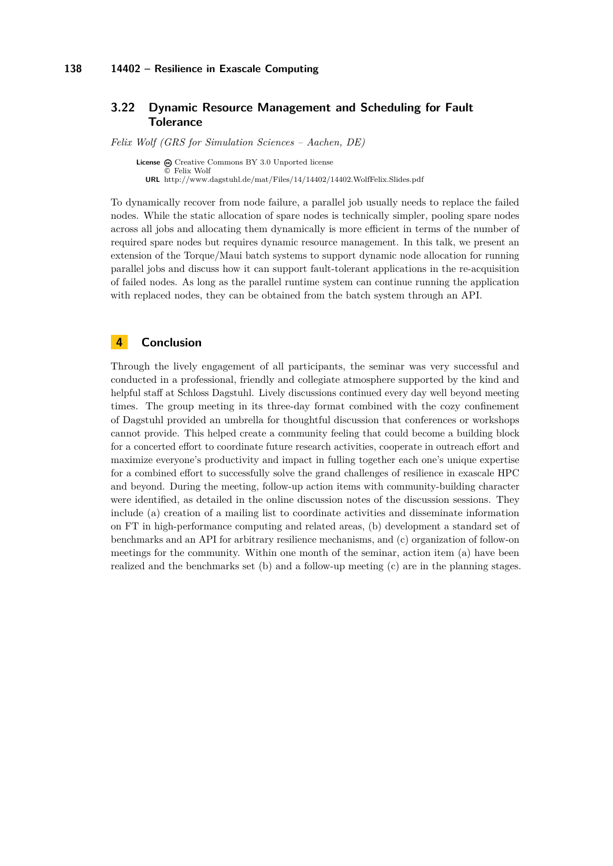### <span id="page-14-0"></span>**3.22 Dynamic Resource Management and Scheduling for Fault Tolerance**

*Felix Wolf (GRS for Simulation Sciences – Aachen, DE)*

License  $\textcircled{c}$  [Creative Commons BY 3.0 Unported](http://creativecommons.org/licenses/by/3.0/) license © [Felix Wolf](#page-14-0) **URL** <http://www.dagstuhl.de/mat/Files/14/14402/14402.WolfFelix.Slides.pdf>

To dynamically recover from node failure, a parallel job usually needs to replace the failed nodes. While the static allocation of spare nodes is technically simpler, pooling spare nodes across all jobs and allocating them dynamically is more efficient in terms of the number of required spare nodes but requires dynamic resource management. In this talk, we present an extension of the Torque/Maui batch systems to support dynamic node allocation for running parallel jobs and discuss how it can support fault-tolerant applications in the re-acquisition of failed nodes. As long as the parallel runtime system can continue running the application with replaced nodes, they can be obtained from the batch system through an API.

### <span id="page-14-1"></span>**4 Conclusion**

Through the lively engagement of all participants, the seminar was very successful and conducted in a professional, friendly and collegiate atmosphere supported by the kind and helpful staff at Schloss Dagstuhl. Lively discussions continued every day well beyond meeting times. The group meeting in its three-day format combined with the cozy confinement of Dagstuhl provided an umbrella for thoughtful discussion that conferences or workshops cannot provide. This helped create a community feeling that could become a building block for a concerted effort to coordinate future research activities, cooperate in outreach effort and maximize everyone's productivity and impact in fulling together each one's unique expertise for a combined effort to successfully solve the grand challenges of resilience in exascale HPC and beyond. During the meeting, follow-up action items with community-building character were identified, as detailed in the online discussion notes of the discussion sessions. They include (a) creation of a mailing list to coordinate activities and disseminate information on FT in high-performance computing and related areas, (b) development a standard set of benchmarks and an API for arbitrary resilience mechanisms, and (c) organization of follow-on meetings for the community. Within one month of the seminar, action item (a) have been realized and the benchmarks set (b) and a follow-up meeting (c) are in the planning stages.